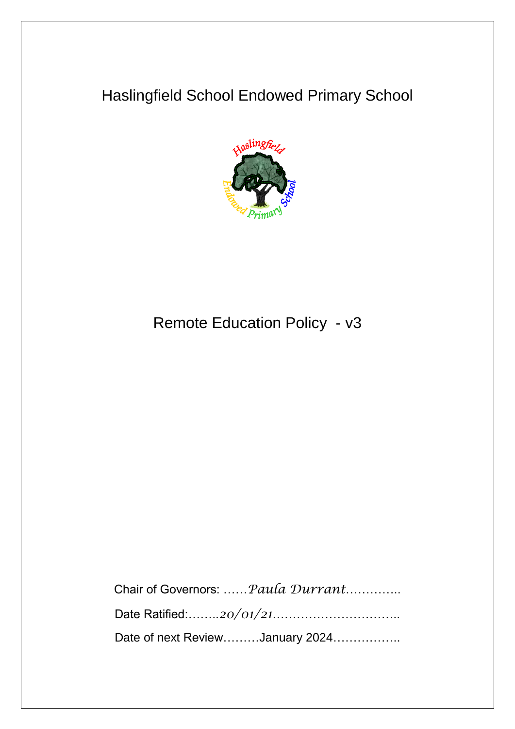# Haslingfield School Endowed Primary School



# Remote Education Policy - v3

Chair of Governors: ……*Paula Durrant*………….. Date Ratified:……..*20/01/21*………………………….. Date of next Review………January 2024……………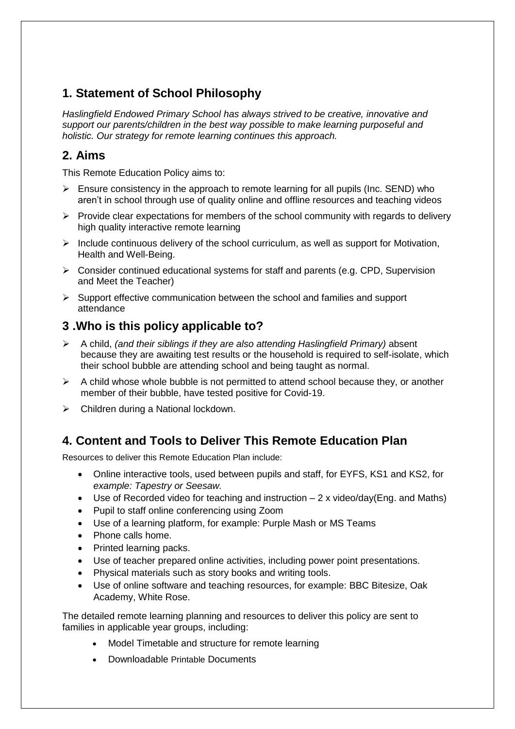# **1. Statement of School Philosophy**

*Haslingfield Endowed Primary School has always strived to be creative, innovative and support our parents/children in the best way possible to make learning purposeful and holistic. Our strategy for remote learning continues this approach.*

# **2. Aims**

This Remote Education Policy aims to:

- $\triangleright$  Ensure consistency in the approach to remote learning for all pupils (Inc. SEND) who aren't in school through use of quality online and offline resources and teaching videos
- $\triangleright$  Provide clear expectations for members of the school community with regards to delivery high quality interactive remote learning
- $\triangleright$  Include continuous delivery of the school curriculum, as well as support for Motivation, Health and Well-Being.
- $\triangleright$  Consider continued educational systems for staff and parents (e.g. CPD, Supervision and Meet the Teacher)
- $\triangleright$  Support effective communication between the school and families and support attendance

# **3 .Who is this policy applicable to?**

- A child, *(and their siblings if they are also attending Haslingfield Primary)* absent because they are awaiting test results or the household is required to self-isolate, which their school bubble are attending school and being taught as normal.
- $\triangleright$  A child whose whole bubble is not permitted to attend school because they, or another member of their bubble, have tested positive for Covid-19.
- $\triangleright$  Children during a National lockdown.

# **4. Content and Tools to Deliver This Remote Education Plan**

Resources to deliver this Remote Education Plan include:

- Online interactive tools, used between pupils and staff, for EYFS, KS1 and KS2, for *example: Tapestry or Seesaw.*
- Use of Recorded video for teaching and instruction  $-2x$  video/day(Eng. and Maths)
- Pupil to staff online conferencing using Zoom
- Use of a learning platform, for example: Purple Mash or MS Teams
- Phone calls home.
- Printed learning packs.
- Use of teacher prepared online activities, including power point presentations.
- Physical materials such as story books and writing tools.
- Use of online software and teaching resources, for example: BBC Bitesize, Oak Academy, White Rose.

The detailed remote learning planning and resources to deliver this policy are sent to families in applicable year groups, including:

- Model Timetable and structure for remote learning
- Downloadable Printable Documents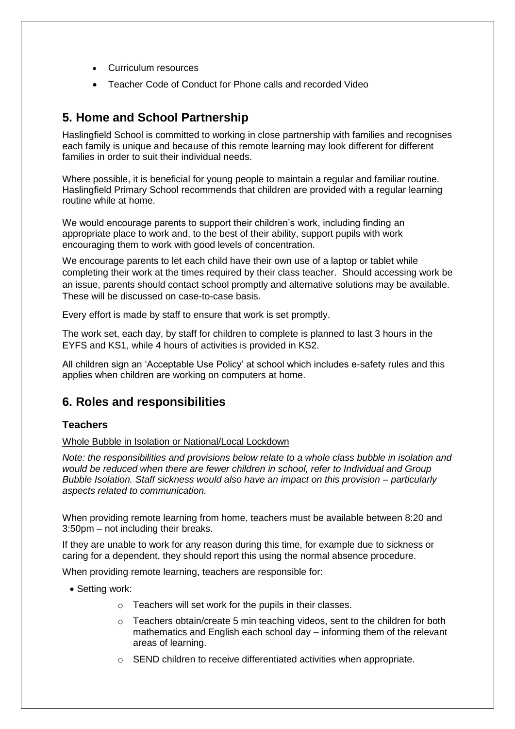- Curriculum resources
- Teacher Code of Conduct for Phone calls and recorded Video

## **5. Home and School Partnership**

Haslingfield School is committed to working in close partnership with families and recognises each family is unique and because of this remote learning may look different for different families in order to suit their individual needs.

Where possible, it is beneficial for young people to maintain a regular and familiar routine. Haslingfield Primary School recommends that children are provided with a regular learning routine while at home.

We would encourage parents to support their children's work, including finding an appropriate place to work and, to the best of their ability, support pupils with work encouraging them to work with good levels of concentration.

We encourage parents to let each child have their own use of a laptop or tablet while completing their work at the times required by their class teacher. Should accessing work be an issue, parents should contact school promptly and alternative solutions may be available. These will be discussed on case-to-case basis.

Every effort is made by staff to ensure that work is set promptly.

The work set, each day, by staff for children to complete is planned to last 3 hours in the EYFS and KS1, while 4 hours of activities is provided in KS2.

All children sign an 'Acceptable Use Policy' at school which includes e-safety rules and this applies when children are working on computers at home.

### **6. Roles and responsibilities**

### **Teachers**

Whole Bubble in Isolation or National/Local Lockdown

*Note: the responsibilities and provisions below relate to a whole class bubble in isolation and would be reduced when there are fewer children in school, refer to Individual and Group Bubble Isolation. Staff sickness would also have an impact on this provision – particularly aspects related to communication.*

When providing remote learning from home, teachers must be available between 8:20 and 3:50pm – not including their breaks.

If they are unable to work for any reason during this time, for example due to sickness or caring for a dependent, they should report this using the normal absence procedure.

When providing remote learning, teachers are responsible for:

- Setting work:
	- o Teachers will set work for the pupils in their classes.
	- $\circ$  Teachers obtain/create 5 min teaching videos, sent to the children for both mathematics and English each school day – informing them of the relevant areas of learning.
	- o SEND children to receive differentiated activities when appropriate.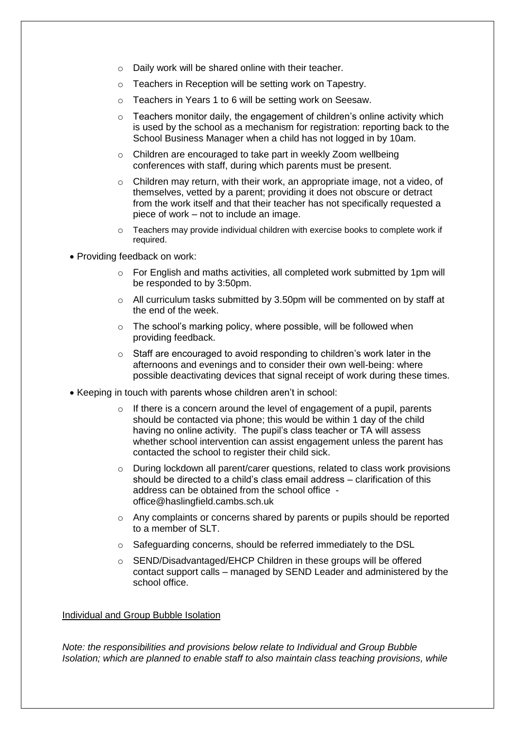- o Daily work will be shared online with their teacher.
- o Teachers in Reception will be setting work on Tapestry.
- o Teachers in Years 1 to 6 will be setting work on Seesaw.
- $\circ$  Teachers monitor daily, the engagement of children's online activity which is used by the school as a mechanism for registration: reporting back to the School Business Manager when a child has not logged in by 10am.
- o Children are encouraged to take part in weekly Zoom wellbeing conferences with staff, during which parents must be present.
- $\circ$  Children may return, with their work, an appropriate image, not a video, of themselves, vetted by a parent; providing it does not obscure or detract from the work itself and that their teacher has not specifically requested a piece of work – not to include an image.
- o Teachers may provide individual children with exercise books to complete work if required.
- Providing feedback on work:
	- $\circ$  For English and maths activities, all completed work submitted by 1pm will be responded to by 3:50pm.
	- $\circ$  All curriculum tasks submitted by 3.50pm will be commented on by staff at the end of the week.
	- o The school's marking policy, where possible, will be followed when providing feedback.
	- o Staff are encouraged to avoid responding to children's work later in the afternoons and evenings and to consider their own well-being: where possible deactivating devices that signal receipt of work during these times.
- Keeping in touch with parents whose children aren't in school:
	- $\circ$  If there is a concern around the level of engagement of a pupil, parents should be contacted via phone; this would be within 1 day of the child having no online activity. The pupil's class teacher or TA will assess whether school intervention can assist engagement unless the parent has contacted the school to register their child sick.
	- $\circ$  During lockdown all parent/carer questions, related to class work provisions should be directed to a child's class email address – clarification of this address can be obtained from the school office office@haslingfield.cambs.sch.uk
	- o Any complaints or concerns shared by parents or pupils should be reported to a member of SLT.
	- o Safeguarding concerns, should be referred immediately to the DSL
	- $\circ$  SEND/Disadvantaged/EHCP Children in these groups will be offered contact support calls – managed by SEND Leader and administered by the school office.

#### Individual and Group Bubble Isolation

*Note: the responsibilities and provisions below relate to Individual and Group Bubble Isolation; which are planned to enable staff to also maintain class teaching provisions, while*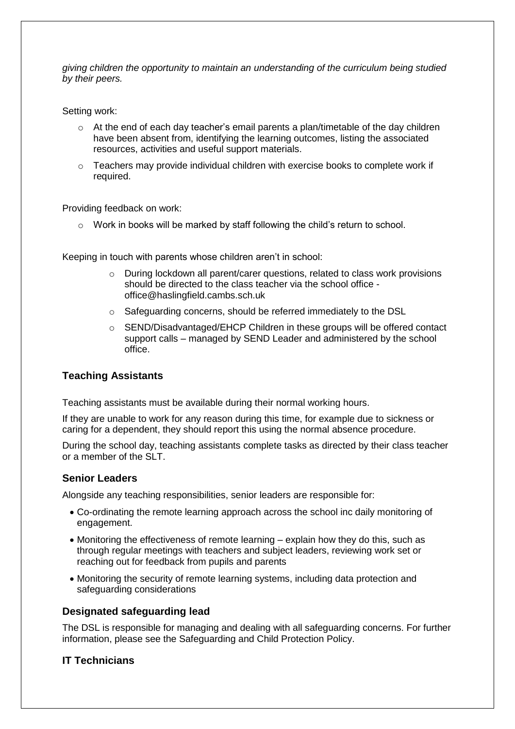*giving children the opportunity to maintain an understanding of the curriculum being studied by their peers.*

Setting work:

- o At the end of each day teacher's email parents a plan/timetable of the day children have been absent from, identifying the learning outcomes, listing the associated resources, activities and useful support materials.
- o Teachers may provide individual children with exercise books to complete work if required.

Providing feedback on work:

 $\circ$  Work in books will be marked by staff following the child's return to school.

Keeping in touch with parents whose children aren't in school:

- $\circ$  During lockdown all parent/carer questions, related to class work provisions should be directed to the class teacher via the school office office@haslingfield.cambs.sch.uk
- o Safeguarding concerns, should be referred immediately to the DSL
- o SEND/Disadvantaged/EHCP Children in these groups will be offered contact support calls – managed by SEND Leader and administered by the school office.

### **Teaching Assistants**

Teaching assistants must be available during their normal working hours.

If they are unable to work for any reason during this time, for example due to sickness or caring for a dependent, they should report this using the normal absence procedure.

During the school day, teaching assistants complete tasks as directed by their class teacher or a member of the SLT.

### **Senior Leaders**

Alongside any teaching responsibilities, senior leaders are responsible for:

- Co-ordinating the remote learning approach across the school inc daily monitoring of engagement.
- Monitoring the effectiveness of remote learning explain how they do this, such as through regular meetings with teachers and subject leaders, reviewing work set or reaching out for feedback from pupils and parents
- Monitoring the security of remote learning systems, including data protection and safeguarding considerations

### **Designated safeguarding lead**

The DSL is responsible for managing and dealing with all safeguarding concerns. For further information, please see the Safeguarding and Child Protection Policy.

### **IT Technicians**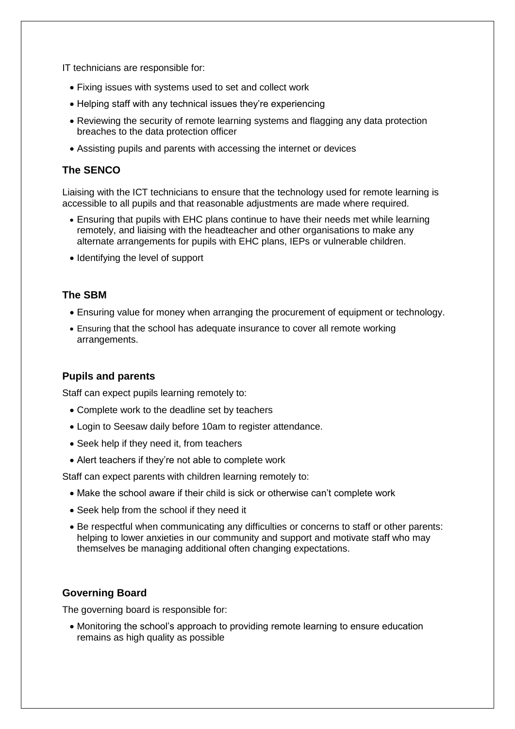IT technicians are responsible for:

- Fixing issues with systems used to set and collect work
- Helping staff with any technical issues they're experiencing
- Reviewing the security of remote learning systems and flagging any data protection breaches to the data protection officer
- Assisting pupils and parents with accessing the internet or devices

### **The SENCO**

Liaising with the ICT technicians to ensure that the technology used for remote learning is accessible to all pupils and that reasonable adjustments are made where required.

- Ensuring that pupils with EHC plans continue to have their needs met while learning remotely, and liaising with the headteacher and other organisations to make any alternate arrangements for pupils with EHC plans, IEPs or vulnerable children.
- Identifying the level of support

### **The SBM**

- Ensuring value for money when arranging the procurement of equipment or technology.
- Ensuring that the school has adequate insurance to cover all remote working arrangements.

### **Pupils and parents**

Staff can expect pupils learning remotely to:

- Complete work to the deadline set by teachers
- Login to Seesaw daily before 10am to register attendance.
- Seek help if they need it, from teachers
- Alert teachers if they're not able to complete work

Staff can expect parents with children learning remotely to:

- Make the school aware if their child is sick or otherwise can't complete work
- Seek help from the school if they need it
- Be respectful when communicating any difficulties or concerns to staff or other parents: helping to lower anxieties in our community and support and motivate staff who may themselves be managing additional often changing expectations.

### **Governing Board**

The governing board is responsible for:

 Monitoring the school's approach to providing remote learning to ensure education remains as high quality as possible